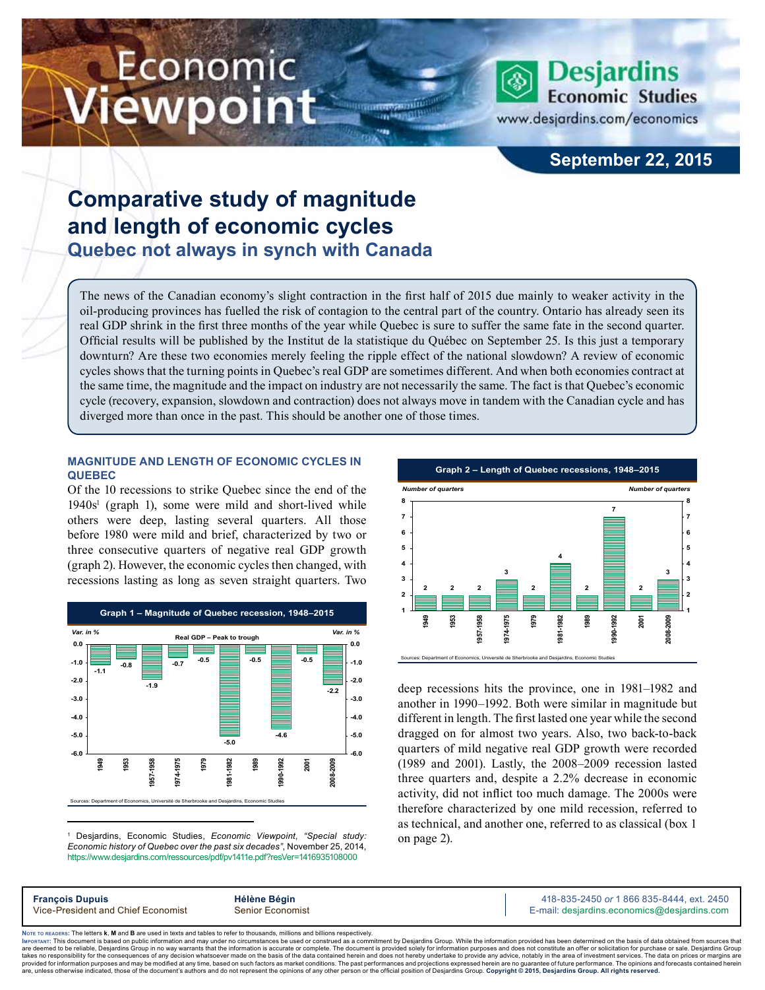# Economic ewpoint



www.desjardins.com/economics

### **September 22, 2015**

## **Comparative study of magnitude and length of economic cycles Quebec not always in synch with Canada**

The news of the Canadian economy's slight contraction in the first half of 2015 due mainly to weaker activity in the oil-producing provinces has fuelled the risk of contagion to the central part of the country. Ontario has already seen its real GDP shrink in the first three months of the year while Quebec is sure to suffer the same fate in the second quarter. Official results will be published by the Institut de la statistique du Québec on September 25. Is this just a temporary downturn? Are these two economies merely feeling the ripple effect of the national slowdown? A review of economic cycles shows that the turning points in Quebec's real GDP are sometimes different. And when both economies contract at the same time, the magnitude and the impact on industry are not necessarily the same. The fact is that Quebec's economic cycle (recovery, expansion, slowdown and contraction) does not always move in tandem with the Canadian cycle and has diverged more than once in the past. This should be another one of those times.

#### **Magnitude and length of economic cycles in Quebec**

Of the 10 recessions to strike Quebec since the end of the 1940s<sup>1</sup> (graph 1), some were mild and short-lived while others were deep, lasting several quarters. All those before 1980 were mild and brief, characterized by two or three consecutive quarters of negative real GDP growth (graph 2). However, the economic cycles then changed, with recessions lasting as long as seven straight quarters. Two



1 Desjardins, Economic Studies, *Economic Viewpoint*, *"Special study: Economic history of Quebec over the past six decades"*, November 25, 2014, https://www.desjardins.com/ressources/pdf/pv1411e.pdf?resVer=1416935108000



deep recessions hits the province, one in 1981–1982 and another in 1990–1992. Both were similar in magnitude but different in length. The first lasted one year while the second dragged on for almost two years. Also, two back-to-back quarters of mild negative real GDP growth were recorded (1989 and 2001). Lastly, the 2008–2009 recession lasted three quarters and, despite a 2.2% decrease in economic activity, did not inflict too much damage. The 2000s were therefore characterized by one mild recession, referred to as technical, and another one, referred to as classical (box 1 on page 2).

| <b>François Dupuis</b>             | Hélène Bégin     | 418-835-2450 or 1 866 835-8444, ext. 2450   |
|------------------------------------|------------------|---------------------------------------------|
| Vice-President and Chief Economist | Senior Economist | E-mail: desjardins.economics@desjardins.com |
|                                    |                  |                                             |

Noте то келоекs: The letters **k, M** and **B** are used in texts and tables to refer to thousands, millions and billions respectively.<br>Імроктлит: This document is based on public information and may under no circumstances be are deemed to be reliable. Desiardins Group in no way warrants that the information is accurate or complete. The document is provided solely for information purposes and does not constitute an offer or solicitation for pur takes no responsibility for the consequences of any decision whatsoever made on the basis of the data contained herein and does not hereby undertake to provide any advice, notably in the area of investment services. The da .<br>are, unless otherwise indicated, those of the document's authors and do not represent the opinions of any other person or the official position of Desjardins Group. Copyright © 2015, Desjardins Group. All rights reserve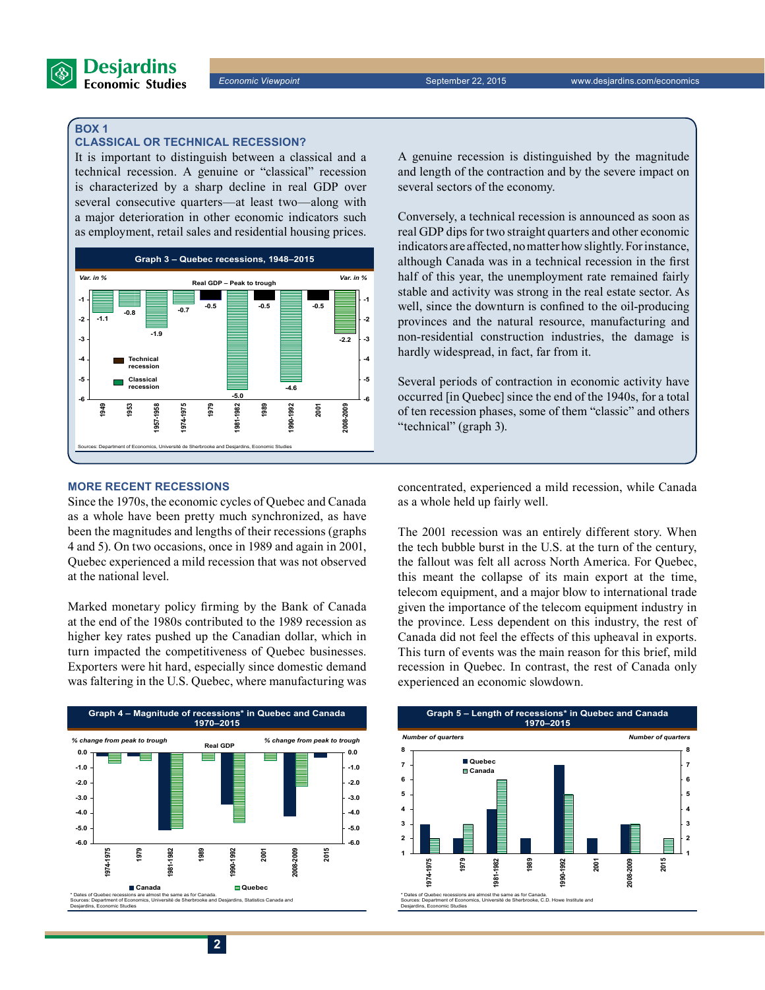

#### **Box 1**

#### **Classical or technical recession?**

It is important to distinguish between a classical and a technical recession. A genuine or "classical" recession is characterized by a sharp decline in real GDP over several consecutive quarters—at least two—along with a major deterioration in other economic indicators such as employment, retail sales and residential housing prices.



#### **More recent recessions**

Since the 1970s, the economic cycles of Quebec and Canada as a whole have been pretty much synchronized, as have been the magnitudes and lengths of their recessions (graphs 4 and 5). On two occasions, once in 1989 and again in 2001, Quebec experienced a mild recession that was not observed at the national level.

Marked monetary policy firming by the Bank of Canada at the end of the 1980s contributed to the 1989 recession as higher key rates pushed up the Canadian dollar, which in turn impacted the competitiveness of Quebec businesses. Exporters were hit hard, especially since domestic demand was faltering in the U.S. Quebec, where manufacturing was



A genuine recession is distinguished by the magnitude and length of the contraction and by the severe impact on several sectors of the economy.

Conversely, a technical recession is announced as soon as real GDP dips for two straight quarters and other economic indicators are affected, no matter how slightly. For instance, although Canada was in a technical recession in the first half of this year, the unemployment rate remained fairly stable and activity was strong in the real estate sector. As well, since the downturn is confined to the oil-producing provinces and the natural resource, manufacturing and non-residential construction industries, the damage is hardly widespread, in fact, far from it.

Several periods of contraction in economic activity have occurred [in Quebec] since the end of the 1940s, for a total of ten recession phases, some of them "classic" and others "technical" (graph 3).

concentrated, experienced a mild recession, while Canada as a whole held up fairly well.

The 2001 recession was an entirely different story. When the tech bubble burst in the U.S. at the turn of the century, the fallout was felt all across North America. For Quebec, this meant the collapse of its main export at the time, telecom equipment, and a major blow to international trade given the importance of the telecom equipment industry in the province. Less dependent on this industry, the rest of Canada did not feel the effects of this upheaval in exports. This turn of events was the main reason for this brief, mild recession in Quebec. In contrast, the rest of Canada only experienced an economic slowdown.

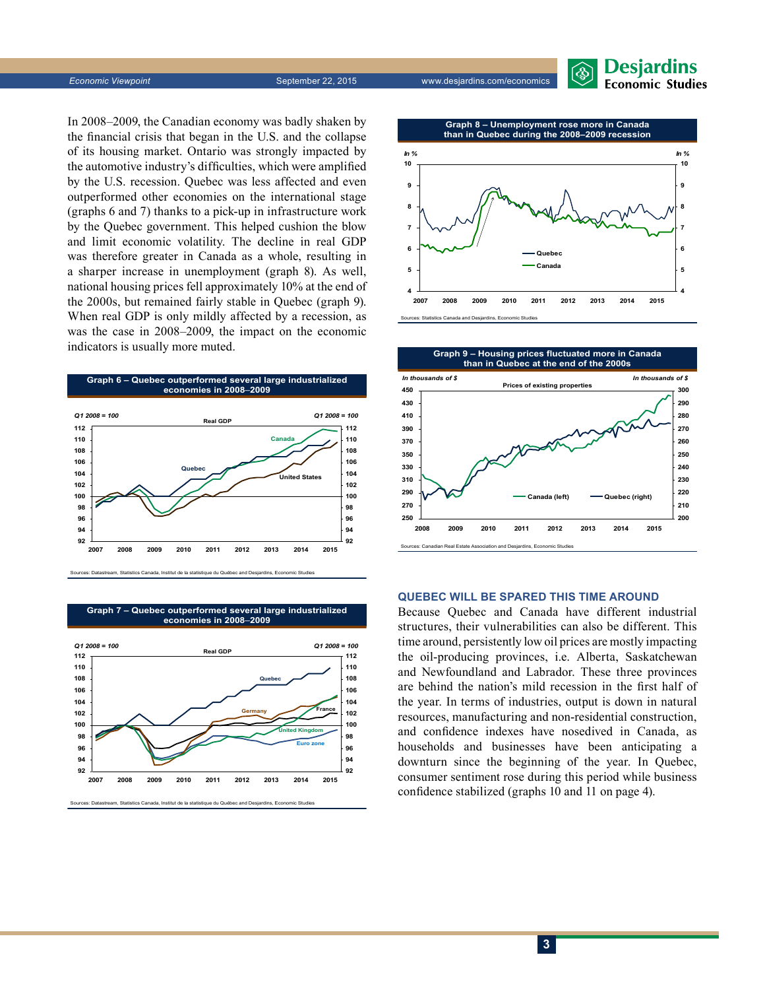

**Economic Viewpoint** September 22, 2015 www.desjardins.com/economics

In 2008–2009, the Canadian economy was badly shaken by the financial crisis that began in the U.S. and the collapse of its housing market. Ontario was strongly impacted by the automotive industry's difficulties, which were amplified by the U.S. recession. Quebec was less affected and even outperformed other economies on the international stage (graphs 6 and 7) thanks to a pick-up in infrastructure work by the Quebec government. This helped cushion the blow and limit economic volatility. The decline in real GDP was therefore greater in Canada as a whole, resulting in a sharper increase in unemployment (graph 8). As well, national housing prices fell approximately 10% at the end of the 2000s, but remained fairly stable in Quebec (graph 9). When real GDP is only mildly affected by a recession, as was the case in 2008–2009, the impact on the economic indicators is usually more muted.



Sources: Datastream, Statistics Canada, Institut de la statistique du Québec and Desjardins, Economic Studies

**Graph 7 – Quebec outperformed several large industrialized economies in 2008**–**2009**



Sources: Datastream, Statistics Canada, Institut de la statistique du Québec and Desjardins, Economic Studies

**Graph 8 – Unemployment rose more in Canada**





#### **Quebec will be spared this time around**

Because Quebec and Canada have different industrial structures, their vulnerabilities can also be different. This time around, persistently low oil prices are mostly impacting the oil-producing provinces, i.e. Alberta, Saskatchewan and Newfoundland and Labrador. These three provinces are behind the nation's mild recession in the first half of the year. In terms of industries, output is down in natural resources, manufacturing and non-residential construction, and confidence indexes have nosedived in Canada, as households and businesses have been anticipating a downturn since the beginning of the year. In Quebec, consumer sentiment rose during this period while business confidence stabilized (graphs 10 and 11 on page 4).